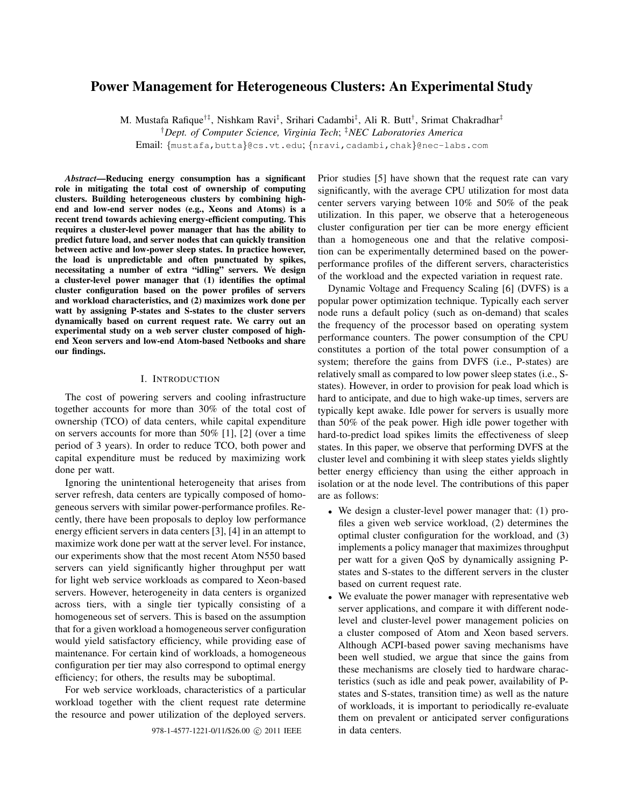# **Power Management for Heterogeneous Clusters: An Experimental Study**

M. Mustafa Rafique<sup>†‡</sup>, Nishkam Ravi<sup>‡</sup>, Srihari Cadambi<sup>‡</sup>, Ali R. Butt<sup>†</sup>, Srimat Chakradhar<sup>‡</sup>

†*Dept. of Computer Science, Virginia Tech*; ‡*NEC Laboratories America*

Email: {mustafa,butta}@cs.vt.edu; {nravi,cadambi,chak}@nec-labs.com

*Abstract***—Reducing energy consumption has a significant role in mitigating the total cost of ownership of computing clusters. Building heterogeneous clusters by combining highend and low-end server nodes (e.g., Xeons and Atoms) is a recent trend towards achieving energy-efficient computing. This requires a cluster-level power manager that has the ability to predict future load, and server nodes that can quickly transition between active and low-power sleep states. In practice however, the load is unpredictable and often punctuated by spikes, necessitating a number of extra "idling" servers. We design a cluster-level power manager that (1) identifies the optimal cluster configuration based on the power profiles of servers and workload characteristics, and (2) maximizes work done per watt by assigning P-states and S-states to the cluster servers dynamically based on current request rate. We carry out an experimental study on a web server cluster composed of highend Xeon servers and low-end Atom-based Netbooks and share our findings.**

### I. INTRODUCTION

The cost of powering servers and cooling infrastructure together accounts for more than 30% of the total cost of ownership (TCO) of data centers, while capital expenditure on servers accounts for more than 50% [1], [2] (over a time period of 3 years). In order to reduce TCO, both power and capital expenditure must be reduced by maximizing work done per watt.

Ignoring the unintentional heterogeneity that arises from server refresh, data centers are typically composed of homogeneous servers with similar power-performance profiles. Recently, there have been proposals to deploy low performance energy efficient servers in data centers [3], [4] in an attempt to maximize work done per watt at the server level. For instance, our experiments show that the most recent Atom N550 based servers can yield significantly higher throughput per watt for light web service workloads as compared to Xeon-based servers. However, heterogeneity in data centers is organized across tiers, with a single tier typically consisting of a homogeneous set of servers. This is based on the assumption that for a given workload a homogeneous server configuration would yield satisfactory efficiency, while providing ease of maintenance. For certain kind of workloads, a homogeneous configuration per tier may also correspond to optimal energy efficiency; for others, the results may be suboptimal.

For web service workloads, characteristics of a particular workload together with the client request rate determine the resource and power utilization of the deployed servers.

978-1-4577-1221-0/11/\$26.00 C 2011 IEEE in data centers.

Prior studies [5] have shown that the request rate can vary significantly, with the average CPU utilization for most data center servers varying between 10% and 50% of the peak utilization. In this paper, we observe that a heterogeneous cluster configuration per tier can be more energy efficient than a homogeneous one and that the relative composition can be experimentally determined based on the powerperformance profiles of the different servers, characteristics of the workload and the expected variation in request rate.

Dynamic Voltage and Frequency Scaling [6] (DVFS) is a popular power optimization technique. Typically each server node runs a default policy (such as on-demand) that scales the frequency of the processor based on operating system performance counters. The power consumption of the CPU constitutes a portion of the total power consumption of a system; therefore the gains from DVFS (i.e., P-states) are relatively small as compared to low power sleep states (i.e., Sstates). However, in order to provision for peak load which is hard to anticipate, and due to high wake-up times, servers are typically kept awake. Idle power for servers is usually more than 50% of the peak power. High idle power together with hard-to-predict load spikes limits the effectiveness of sleep states. In this paper, we observe that performing DVFS at the cluster level and combining it with sleep states yields slightly better energy efficiency than using the either approach in isolation or at the node level. The contributions of this paper are as follows:

- We design a cluster-level power manager that: (1) profiles a given web service workload, (2) determines the optimal cluster configuration for the workload, and (3) implements a policy manager that maximizes throughput per watt for a given QoS by dynamically assigning Pstates and S-states to the different servers in the cluster based on current request rate.
- We evaluate the power manager with representative web server applications, and compare it with different nodelevel and cluster-level power management policies on a cluster composed of Atom and Xeon based servers. Although ACPI-based power saving mechanisms have been well studied, we argue that since the gains from these mechanisms are closely tied to hardware characteristics (such as idle and peak power, availability of Pstates and S-states, transition time) as well as the nature of workloads, it is important to periodically re-evaluate them on prevalent or anticipated server configurations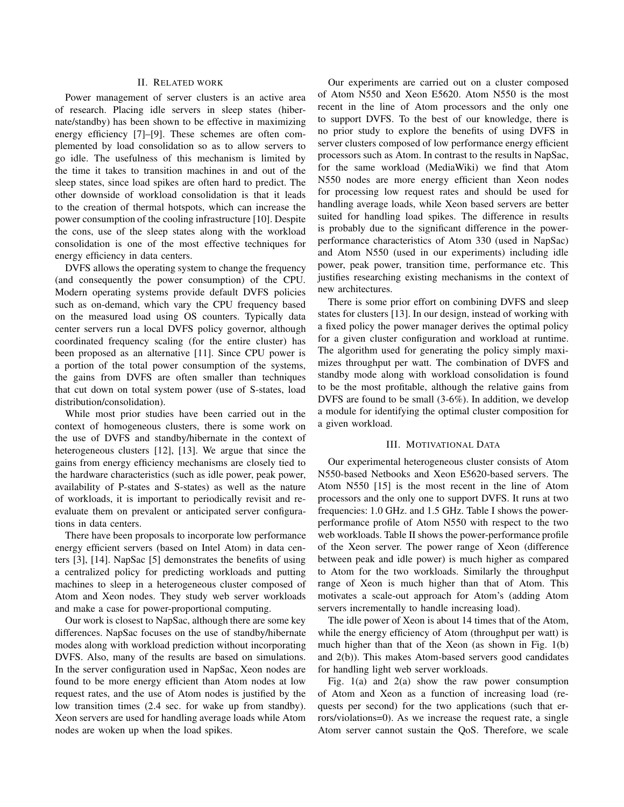# II. RELATED WORK

Power management of server clusters is an active area of research. Placing idle servers in sleep states (hibernate/standby) has been shown to be effective in maximizing energy efficiency [7]–[9]. These schemes are often complemented by load consolidation so as to allow servers to go idle. The usefulness of this mechanism is limited by the time it takes to transition machines in and out of the sleep states, since load spikes are often hard to predict. The other downside of workload consolidation is that it leads to the creation of thermal hotspots, which can increase the power consumption of the cooling infrastructure [10]. Despite the cons, use of the sleep states along with the workload consolidation is one of the most effective techniques for energy efficiency in data centers.

DVFS allows the operating system to change the frequency (and consequently the power consumption) of the CPU. Modern operating systems provide default DVFS policies such as on-demand, which vary the CPU frequency based on the measured load using OS counters. Typically data center servers run a local DVFS policy governor, although coordinated frequency scaling (for the entire cluster) has been proposed as an alternative [11]. Since CPU power is a portion of the total power consumption of the systems, the gains from DVFS are often smaller than techniques that cut down on total system power (use of S-states, load distribution/consolidation).

While most prior studies have been carried out in the context of homogeneous clusters, there is some work on the use of DVFS and standby/hibernate in the context of heterogeneous clusters [12], [13]. We argue that since the gains from energy efficiency mechanisms are closely tied to the hardware characteristics (such as idle power, peak power, availability of P-states and S-states) as well as the nature of workloads, it is important to periodically revisit and reevaluate them on prevalent or anticipated server configurations in data centers.

There have been proposals to incorporate low performance energy efficient servers (based on Intel Atom) in data centers [3], [14]. NapSac [5] demonstrates the benefits of using a centralized policy for predicting workloads and putting machines to sleep in a heterogeneous cluster composed of Atom and Xeon nodes. They study web server workloads and make a case for power-proportional computing.

Our work is closest to NapSac, although there are some key differences. NapSac focuses on the use of standby/hibernate modes along with workload prediction without incorporating DVFS. Also, many of the results are based on simulations. In the server configuration used in NapSac, Xeon nodes are found to be more energy efficient than Atom nodes at low request rates, and the use of Atom nodes is justified by the low transition times (2.4 sec. for wake up from standby). Xeon servers are used for handling average loads while Atom nodes are woken up when the load spikes.

Our experiments are carried out on a cluster composed of Atom N550 and Xeon E5620. Atom N550 is the most recent in the line of Atom processors and the only one to support DVFS. To the best of our knowledge, there is no prior study to explore the benefits of using DVFS in server clusters composed of low performance energy efficient processors such as Atom. In contrast to the results in NapSac, for the same workload (MediaWiki) we find that Atom N550 nodes are more energy efficient than Xeon nodes for processing low request rates and should be used for handling average loads, while Xeon based servers are better suited for handling load spikes. The difference in results is probably due to the significant difference in the powerperformance characteristics of Atom 330 (used in NapSac) and Atom N550 (used in our experiments) including idle power, peak power, transition time, performance etc. This justifies researching existing mechanisms in the context of new architectures.

There is some prior effort on combining DVFS and sleep states for clusters [13]. In our design, instead of working with a fixed policy the power manager derives the optimal policy for a given cluster configuration and workload at runtime. The algorithm used for generating the policy simply maximizes throughput per watt. The combination of DVFS and standby mode along with workload consolidation is found to be the most profitable, although the relative gains from DVFS are found to be small (3-6%). In addition, we develop a module for identifying the optimal cluster composition for a given workload.

## III. MOTIVATIONAL DATA

Our experimental heterogeneous cluster consists of Atom N550-based Netbooks and Xeon E5620-based servers. The Atom N550 [15] is the most recent in the line of Atom processors and the only one to support DVFS. It runs at two frequencies: 1.0 GHz. and 1.5 GHz. Table I shows the powerperformance profile of Atom N550 with respect to the two web workloads. Table II shows the power-performance profile of the Xeon server. The power range of Xeon (difference between peak and idle power) is much higher as compared to Atom for the two workloads. Similarly the throughput range of Xeon is much higher than that of Atom. This motivates a scale-out approach for Atom's (adding Atom servers incrementally to handle increasing load).

The idle power of Xeon is about 14 times that of the Atom, while the energy efficiency of Atom (throughput per watt) is much higher than that of the Xeon (as shown in Fig. 1(b) and 2(b)). This makes Atom-based servers good candidates for handling light web server workloads.

Fig. 1(a) and 2(a) show the raw power consumption of Atom and Xeon as a function of increasing load (requests per second) for the two applications (such that errors/violations=0). As we increase the request rate, a single Atom server cannot sustain the QoS. Therefore, we scale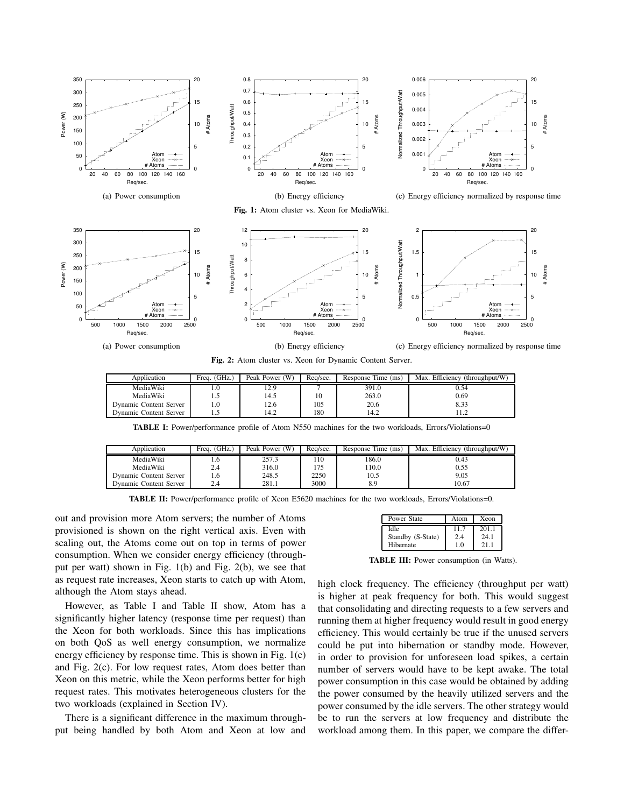



**Fig. 2:** Atom cluster vs. Xeon for Dynamic Content Server.

| Application            | Freq. (GHz.) | Peak Power (W) | Rea/sec. | Response Time (ms) | Max. Efficiency (throughput/W) |
|------------------------|--------------|----------------|----------|--------------------|--------------------------------|
| MediaWiki              | L.U          |                |          | 391.0              | 0.54                           |
| MediaWiki              | כ. ו         | 14.5           | 10       | 263.0              | 0.69                           |
| Dynamic Content Server | 1.0          | 12.6           | 105      | 20.6               | 8.33                           |
| Dynamic Content Server | ر. د         | 14.2           | 180      | 14.2               |                                |

**TABLE I:** Power/performance profile of Atom N550 machines for the two workloads, Errors/Violations=0

| Application            | Freq. (GHz.) | Peak Power (W) | Rea/sec. | Response Time (ms) | Max. Efficiency (throughput/W) |
|------------------------|--------------|----------------|----------|--------------------|--------------------------------|
| MediaWiki              | 1.0          | 257.3          | ! 10     | 186.0              | 0.43                           |
| MediaWiki              | 2.4          | 316.0          |          | 10.0               | 0.55                           |
| Dynamic Content Server | 1.6          | 248.5          | 2250     | 10.5               | 9.05                           |
| Dynamic Content Server | 2.4          | 281.1          | 3000     | 8.9                | 10.67                          |

**TABLE II:** Power/performance profile of Xeon E5620 machines for the two workloads, Errors/Violations=0.

out and provision more Atom servers; the number of Atoms provisioned is shown on the right vertical axis. Even with scaling out, the Atoms come out on top in terms of power consumption. When we consider energy efficiency (throughput per watt) shown in Fig. 1(b) and Fig. 2(b), we see that as request rate increases, Xeon starts to catch up with Atom, although the Atom stays ahead.

However, as Table I and Table II show, Atom has a significantly higher latency (response time per request) than the Xeon for both workloads. Since this has implications on both QoS as well energy consumption, we normalize energy efficiency by response time. This is shown in Fig. 1(c) and Fig. 2(c). For low request rates, Atom does better than Xeon on this metric, while the Xeon performs better for high request rates. This motivates heterogeneous clusters for the two workloads (explained in Section IV).

There is a significant difference in the maximum throughput being handled by both Atom and Xeon at low and

| Power State       | Atom | Xeon |
|-------------------|------|------|
| Idle              |      | 2011 |
| Standby (S-State) | 2.4  | 24 1 |
| Hibernate         | 1 ∩  |      |

**TABLE III:** Power consumption (in Watts).

high clock frequency. The efficiency (throughput per watt) is higher at peak frequency for both. This would suggest that consolidating and directing requests to a few servers and running them at higher frequency would result in good energy efficiency. This would certainly be true if the unused servers could be put into hibernation or standby mode. However, in order to provision for unforeseen load spikes, a certain number of servers would have to be kept awake. The total power consumption in this case would be obtained by adding the power consumed by the heavily utilized servers and the power consumed by the idle servers. The other strategy would be to run the servers at low frequency and distribute the workload among them. In this paper, we compare the differ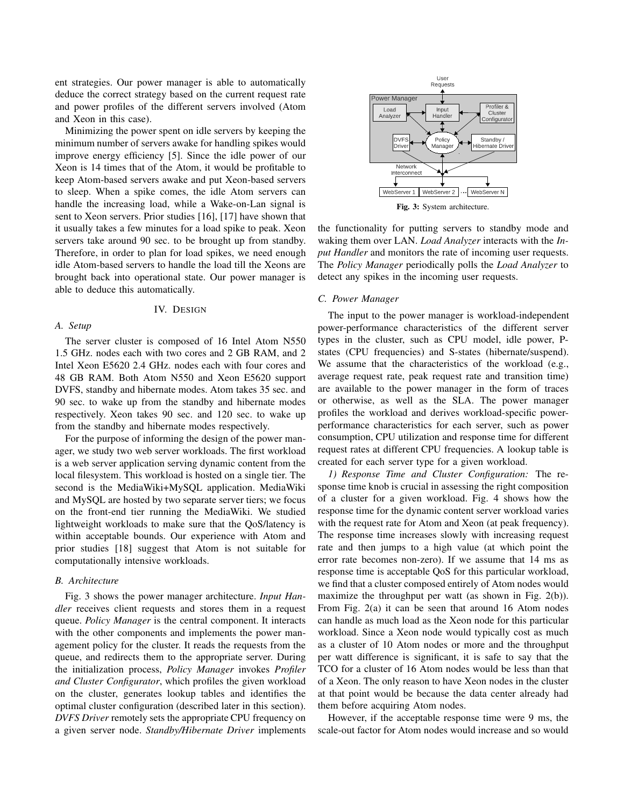ent strategies. Our power manager is able to automatically deduce the correct strategy based on the current request rate and power profiles of the different servers involved (Atom and Xeon in this case).

Minimizing the power spent on idle servers by keeping the minimum number of servers awake for handling spikes would improve energy efficiency [5]. Since the idle power of our Xeon is 14 times that of the Atom, it would be profitable to keep Atom-based servers awake and put Xeon-based servers to sleep. When a spike comes, the idle Atom servers can handle the increasing load, while a Wake-on-Lan signal is sent to Xeon servers. Prior studies [16], [17] have shown that it usually takes a few minutes for a load spike to peak. Xeon servers take around 90 sec. to be brought up from standby. Therefore, in order to plan for load spikes, we need enough idle Atom-based servers to handle the load till the Xeons are brought back into operational state. Our power manager is able to deduce this automatically.

## IV. DESIGN

# *A. Setup*

The server cluster is composed of 16 Intel Atom N550 1.5 GHz. nodes each with two cores and 2 GB RAM, and 2 Intel Xeon E5620 2.4 GHz. nodes each with four cores and 48 GB RAM. Both Atom N550 and Xeon E5620 support DVFS, standby and hibernate modes. Atom takes 35 sec. and 90 sec. to wake up from the standby and hibernate modes respectively. Xeon takes 90 sec. and 120 sec. to wake up from the standby and hibernate modes respectively.

For the purpose of informing the design of the power manager, we study two web server workloads. The first workload is a web server application serving dynamic content from the local filesystem. This workload is hosted on a single tier. The second is the MediaWiki+MySQL application. MediaWiki and MySQL are hosted by two separate server tiers; we focus on the front-end tier running the MediaWiki. We studied lightweight workloads to make sure that the QoS/latency is within acceptable bounds. Our experience with Atom and prior studies [18] suggest that Atom is not suitable for computationally intensive workloads.

## *B. Architecture*

Fig. 3 shows the power manager architecture. *Input Handler* receives client requests and stores them in a request queue. *Policy Manager* is the central component. It interacts with the other components and implements the power management policy for the cluster. It reads the requests from the queue, and redirects them to the appropriate server. During the initialization process, *Policy Manager* invokes *Profiler and Cluster Configurator*, which profiles the given workload on the cluster, generates lookup tables and identifies the optimal cluster configuration (described later in this section). *DVFS Driver* remotely sets the appropriate CPU frequency on a given server node. *Standby/Hibernate Driver* implements



**Fig. 3:** System architecture.

the functionality for putting servers to standby mode and waking them over LAN. *Load Analyzer* interacts with the *Input Handler* and monitors the rate of incoming user requests. The *Policy Manager* periodically polls the *Load Analyzer* to detect any spikes in the incoming user requests.

## *C. Power Manager*

The input to the power manager is workload-independent power-performance characteristics of the different server types in the cluster, such as CPU model, idle power, Pstates (CPU frequencies) and S-states (hibernate/suspend). We assume that the characteristics of the workload (e.g., average request rate, peak request rate and transition time) are available to the power manager in the form of traces or otherwise, as well as the SLA. The power manager profiles the workload and derives workload-specific powerperformance characteristics for each server, such as power consumption, CPU utilization and response time for different request rates at different CPU frequencies. A lookup table is created for each server type for a given workload.

*1) Response Time and Cluster Configuration:* The response time knob is crucial in assessing the right composition of a cluster for a given workload. Fig. 4 shows how the response time for the dynamic content server workload varies with the request rate for Atom and Xeon (at peak frequency). The response time increases slowly with increasing request rate and then jumps to a high value (at which point the error rate becomes non-zero). If we assume that 14 ms as response time is acceptable QoS for this particular workload, we find that a cluster composed entirely of Atom nodes would maximize the throughput per watt (as shown in Fig. 2(b)). From Fig. 2(a) it can be seen that around 16 Atom nodes can handle as much load as the Xeon node for this particular workload. Since a Xeon node would typically cost as much as a cluster of 10 Atom nodes or more and the throughput per watt difference is significant, it is safe to say that the TCO for a cluster of 16 Atom nodes would be less than that of a Xeon. The only reason to have Xeon nodes in the cluster at that point would be because the data center already had them before acquiring Atom nodes.

However, if the acceptable response time were 9 ms, the scale-out factor for Atom nodes would increase and so would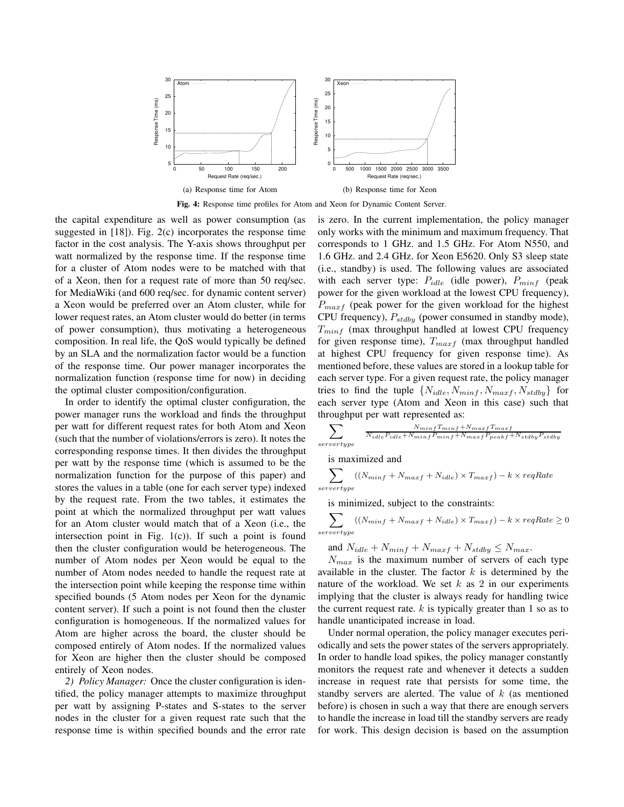

**Fig. 4:** Response time profiles for Atom and Xeon for Dynamic Content Server.

the capital expenditure as well as power consumption (as suggested in [18]). Fig. 2(c) incorporates the response time factor in the cost analysis. The Y-axis shows throughput per watt normalized by the response time. If the response time for a cluster of Atom nodes were to be matched with that of a Xeon, then for a request rate of more than 50 req/sec. for MediaWiki (and 600 req/sec. for dynamic content server) a Xeon would be preferred over an Atom cluster, while for lower request rates, an Atom cluster would do better (in terms of power consumption), thus motivating a heterogeneous composition. In real life, the QoS would typically be defined by an SLA and the normalization factor would be a function of the response time. Our power manager incorporates the normalization function (response time for now) in deciding the optimal cluster composition/configuration.

In order to identify the optimal cluster configuration, the power manager runs the workload and finds the throughput per watt for different request rates for both Atom and Xeon (such that the number of violations/errors is zero). It notes the corresponding response times. It then divides the throughput per watt by the response time (which is assumed to be the normalization function for the purpose of this paper) and stores the values in a table (one for each server type) indexed by the request rate. From the two tables, it estimates the point at which the normalized throughput per watt values for an Atom cluster would match that of a Xeon (i.e., the intersection point in Fig.  $1(c)$ ). If such a point is found then the cluster configuration would be heterogeneous. The number of Atom nodes per Xeon would be equal to the number of Atom nodes needed to handle the request rate at the intersection point while keeping the response time within specified bounds (5 Atom nodes per Xeon for the dynamic content server). If such a point is not found then the cluster configuration is homogeneous. If the normalized values for Atom are higher across the board, the cluster should be composed entirely of Atom nodes. If the normalized values for Xeon are higher then the cluster should be composed entirely of Xeon nodes.

*2) Policy Manager:* Once the cluster configuration is identified, the policy manager attempts to maximize throughput per watt by assigning P-states and S-states to the server nodes in the cluster for a given request rate such that the response time is within specified bounds and the error rate is zero. In the current implementation, the policy manager only works with the minimum and maximum frequency. That corresponds to 1 GHz. and 1.5 GHz. For Atom N550, and 1.6 GHz. and 2.4 GHz. for Xeon E5620. Only S3 sleep state (i.e., standby) is used. The following values are associated with each server type:  $P_{idle}$  (idle power),  $P_{minf}$  (peak power for the given workload at the lowest CPU frequency),  $P_{maxf}$  (peak power for the given workload for the highest CPU frequency),  $P_{stdby}$  (power consumed in standby mode),  $T_{minf}$  (max throughput handled at lowest CPU frequency for given response time),  $T_{maxf}$  (max throughput handled at highest CPU frequency for given response time). As mentioned before, these values are stored in a lookup table for each server type. For a given request rate, the policy manager tries to find the tuple  $\{N_{idle}, N_{minf}, N_{maxf}, N_{stdby}\}$  for each server type (Atom and Xeon in this case) such that throughput per watt represented as:

$$
\sum_{servertype} \frac{N_{minf} T_{minf} + N_{maxf} T_{maxf}}{N_{idle} P_{idle} + N_{minf} P_{minf} + N_{maxf} P_{peakf} + N_{stdby} P_{stdby}}
$$

is maximized and

$$
\sum_{servertype} ((N_{minf} + N_{maxf} + N_{idle}) \times T_{maxf}) - k \times reqRate
$$

is minimized, subject to the constraints:

$$
\sum_{servertype} ((N_{minf} + N_{maxf} + N_{idle}) \times T_{maxf}) - k \times reqRate \ge 0
$$

and  $N_{idle} + N_{minf} + N_{maxf} + N_{stdby} \leq N_{max}$ .

 $N_{max}$  is the maximum number of servers of each type available in the cluster. The factor  $k$  is determined by the nature of the workload. We set  $k$  as 2 in our experiments implying that the cluster is always ready for handling twice the current request rate.  $k$  is typically greater than 1 so as to handle unanticipated increase in load.

Under normal operation, the policy manager executes periodically and sets the power states of the servers appropriately. In order to handle load spikes, the policy manager constantly monitors the request rate and whenever it detects a sudden increase in request rate that persists for some time, the standby servers are alerted. The value of  $k$  (as mentioned before) is chosen in such a way that there are enough servers to handle the increase in load till the standby servers are ready for work. This design decision is based on the assumption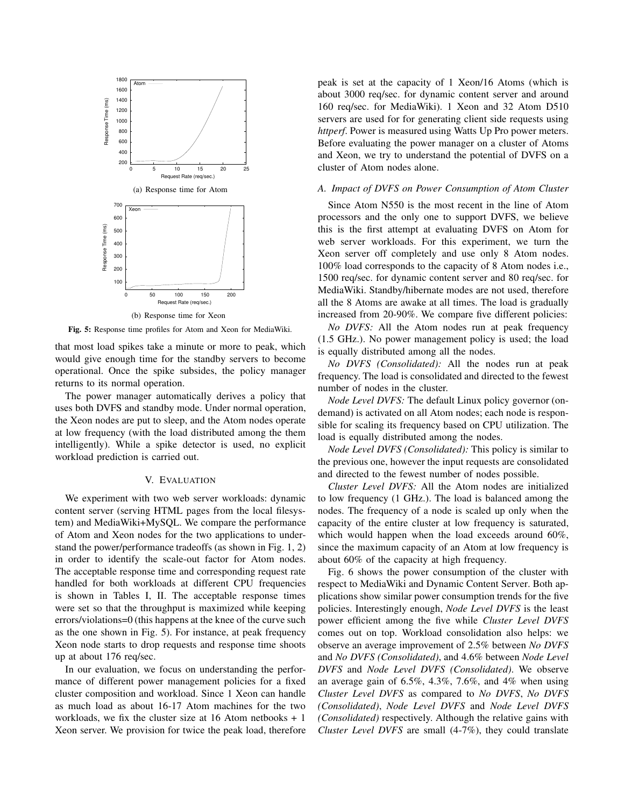

**Fig. 5:** Response time profiles for Atom and Xeon for MediaWiki.

that most load spikes take a minute or more to peak, which would give enough time for the standby servers to become operational. Once the spike subsides, the policy manager returns to its normal operation.

The power manager automatically derives a policy that uses both DVFS and standby mode. Under normal operation, the Xeon nodes are put to sleep, and the Atom nodes operate at low frequency (with the load distributed among the them intelligently). While a spike detector is used, no explicit workload prediction is carried out.

## V. EVALUATION

We experiment with two web server workloads: dynamic content server (serving HTML pages from the local filesystem) and MediaWiki+MySQL. We compare the performance of Atom and Xeon nodes for the two applications to understand the power/performance tradeoffs (as shown in Fig. 1, 2) in order to identify the scale-out factor for Atom nodes. The acceptable response time and corresponding request rate handled for both workloads at different CPU frequencies is shown in Tables I, II. The acceptable response times were set so that the throughput is maximized while keeping errors/violations=0 (this happens at the knee of the curve such as the one shown in Fig. 5). For instance, at peak frequency Xeon node starts to drop requests and response time shoots up at about 176 req/sec.

In our evaluation, we focus on understanding the performance of different power management policies for a fixed cluster composition and workload. Since 1 Xeon can handle as much load as about 16-17 Atom machines for the two workloads, we fix the cluster size at 16 Atom netbooks + 1 Xeon server. We provision for twice the peak load, therefore peak is set at the capacity of 1 Xeon/16 Atoms (which is about 3000 req/sec. for dynamic content server and around 160 req/sec. for MediaWiki). 1 Xeon and 32 Atom D510 servers are used for for generating client side requests using *httperf*. Power is measured using Watts Up Pro power meters. Before evaluating the power manager on a cluster of Atoms and Xeon, we try to understand the potential of DVFS on a cluster of Atom nodes alone.

# *A. Impact of DVFS on Power Consumption of Atom Cluster*

Since Atom N550 is the most recent in the line of Atom processors and the only one to support DVFS, we believe this is the first attempt at evaluating DVFS on Atom for web server workloads. For this experiment, we turn the Xeon server off completely and use only 8 Atom nodes. 100% load corresponds to the capacity of 8 Atom nodes i.e., 1500 req/sec. for dynamic content server and 80 req/sec. for MediaWiki. Standby/hibernate modes are not used, therefore all the 8 Atoms are awake at all times. The load is gradually increased from 20-90%. We compare five different policies:

*No DVFS:* All the Atom nodes run at peak frequency (1.5 GHz.). No power management policy is used; the load is equally distributed among all the nodes.

*No DVFS (Consolidated):* All the nodes run at peak frequency. The load is consolidated and directed to the fewest number of nodes in the cluster.

*Node Level DVFS:* The default Linux policy governor (ondemand) is activated on all Atom nodes; each node is responsible for scaling its frequency based on CPU utilization. The load is equally distributed among the nodes.

*Node Level DVFS (Consolidated):* This policy is similar to the previous one, however the input requests are consolidated and directed to the fewest number of nodes possible.

*Cluster Level DVFS:* All the Atom nodes are initialized to low frequency (1 GHz.). The load is balanced among the nodes. The frequency of a node is scaled up only when the capacity of the entire cluster at low frequency is saturated, which would happen when the load exceeds around 60%, since the maximum capacity of an Atom at low frequency is about 60% of the capacity at high frequency.

Fig. 6 shows the power consumption of the cluster with respect to MediaWiki and Dynamic Content Server. Both applications show similar power consumption trends for the five policies. Interestingly enough, *Node Level DVFS* is the least power efficient among the five while *Cluster Level DVFS* comes out on top. Workload consolidation also helps: we observe an average improvement of 2.5% between *No DVFS* and *No DVFS (Consolidated)*, and 4.6% between *Node Level DVFS* and *Node Level DVFS (Consolidated)*. We observe an average gain of 6.5%, 4.3%, 7.6%, and 4% when using *Cluster Level DVFS* as compared to *No DVFS*, *No DVFS (Consolidated)*, *Node Level DVFS* and *Node Level DVFS (Consolidated)* respectively. Although the relative gains with *Cluster Level DVFS* are small (4-7%), they could translate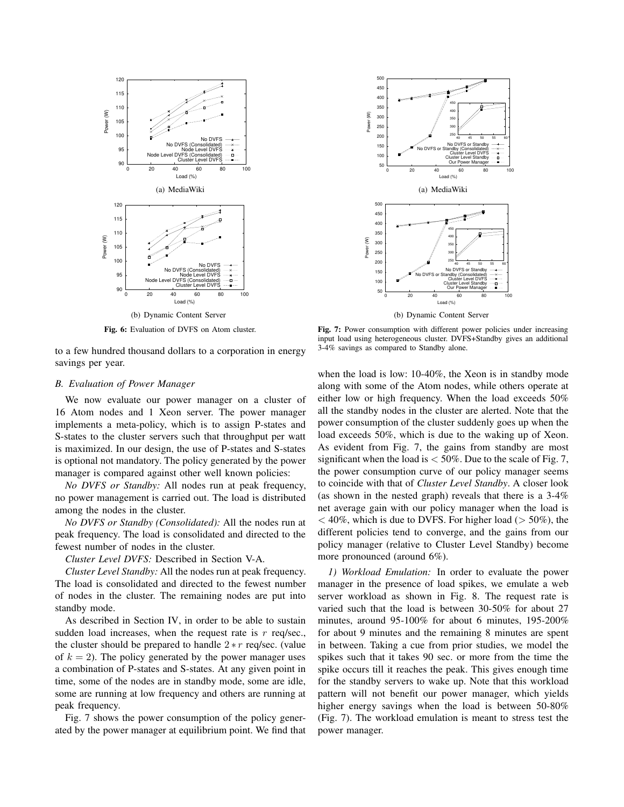

**Fig. 6:** Evaluation of DVFS on Atom cluster.

to a few hundred thousand dollars to a corporation in energy savings per year.

#### *B. Evaluation of Power Manager*

We now evaluate our power manager on a cluster of 16 Atom nodes and 1 Xeon server. The power manager implements a meta-policy, which is to assign P-states and S-states to the cluster servers such that throughput per watt is maximized. In our design, the use of P-states and S-states is optional not mandatory. The policy generated by the power manager is compared against other well known policies:

*No DVFS or Standby:* All nodes run at peak frequency, no power management is carried out. The load is distributed among the nodes in the cluster.

*No DVFS or Standby (Consolidated):* All the nodes run at peak frequency. The load is consolidated and directed to the fewest number of nodes in the cluster.

*Cluster Level DVFS:* Described in Section V-A.

*Cluster Level Standby:* All the nodes run at peak frequency. The load is consolidated and directed to the fewest number of nodes in the cluster. The remaining nodes are put into standby mode.

As described in Section IV, in order to be able to sustain sudden load increases, when the request rate is  $r$  req/sec., the cluster should be prepared to handle  $2*r$  req/sec. (value of  $k = 2$ ). The policy generated by the power manager uses a combination of P-states and S-states. At any given point in time, some of the nodes are in standby mode, some are idle, some are running at low frequency and others are running at peak frequency.

Fig. 7 shows the power consumption of the policy generated by the power manager at equilibrium point. We find that



Fig. 7: Power consumption with different power policies under increasing input load using heterogeneous cluster. DVFS+Standby gives an additional 3-4% savings as compared to Standby alone.

when the load is low: 10-40%, the Xeon is in standby mode along with some of the Atom nodes, while others operate at either low or high frequency. When the load exceeds 50% all the standby nodes in the cluster are alerted. Note that the power consumption of the cluster suddenly goes up when the load exceeds 50%, which is due to the waking up of Xeon. As evident from Fig. 7, the gains from standby are most significant when the load is  $<$  50%. Due to the scale of Fig. 7, the power consumption curve of our policy manager seems to coincide with that of *Cluster Level Standby*. A closer look (as shown in the nested graph) reveals that there is a 3-4% net average gain with our policy manager when the load is  $<$  40%, which is due to DVFS. For higher load ( $>$  50%), the different policies tend to converge, and the gains from our policy manager (relative to Cluster Level Standby) become more pronounced (around 6%).

*1) Workload Emulation:* In order to evaluate the power manager in the presence of load spikes, we emulate a web server workload as shown in Fig. 8. The request rate is varied such that the load is between 30-50% for about 27 minutes, around 95-100% for about 6 minutes, 195-200% for about 9 minutes and the remaining 8 minutes are spent in between. Taking a cue from prior studies, we model the spikes such that it takes 90 sec. or more from the time the spike occurs till it reaches the peak. This gives enough time for the standby servers to wake up. Note that this workload pattern will not benefit our power manager, which yields higher energy savings when the load is between 50-80% (Fig. 7). The workload emulation is meant to stress test the power manager.